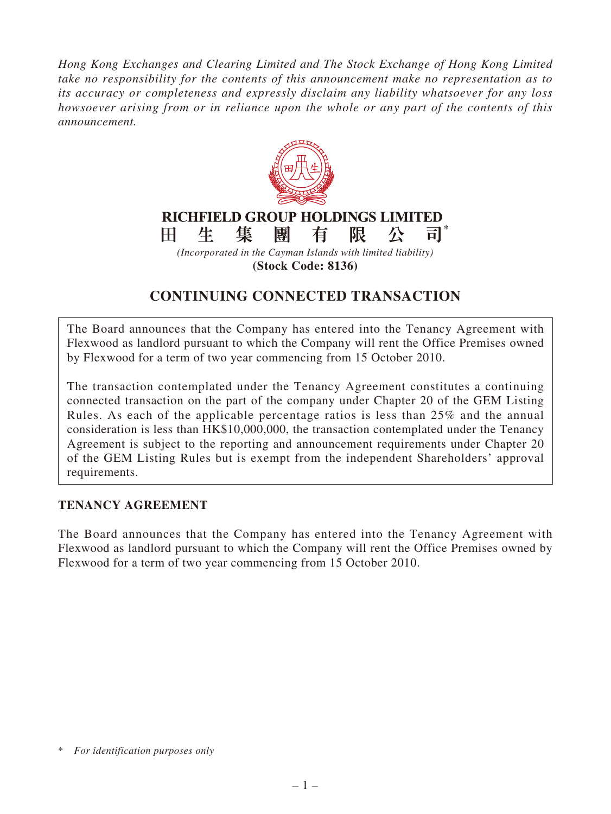*Hong Kong Exchanges and Clearing Limited and The Stock Exchange of Hong Kong Limited take no responsibility for the contents of this announcement make no representation as to its accuracy or completeness and expressly disclaim any liability whatsoever for any loss howsoever arising from or in reliance upon the whole or any part of the contents of this announcement.*



**(Stock Code: 8136)**

# **CONTINUING CONNECTED TRANSACTION**

The Board announces that the Company has entered into the Tenancy Agreement with Flexwood as landlord pursuant to which the Company will rent the Office Premises owned by Flexwood for a term of two year commencing from 15 October 2010.

The transaction contemplated under the Tenancy Agreement constitutes a continuing connected transaction on the part of the company under Chapter 20 of the GEM Listing Rules. As each of the applicable percentage ratios is less than 25% and the annual consideration is less than HK\$10,000,000, the transaction contemplated under the Tenancy Agreement is subject to the reporting and announcement requirements under Chapter 20 of the GEM Listing Rules but is exempt from the independent Shareholders' approval requirements.

#### **TENANCY AGREEMENT**

The Board announces that the Company has entered into the Tenancy Agreement with Flexwood as landlord pursuant to which the Company will rent the Office Premises owned by Flexwood for a term of two year commencing from 15 October 2010.

<sup>\*</sup> *For identification purposes only*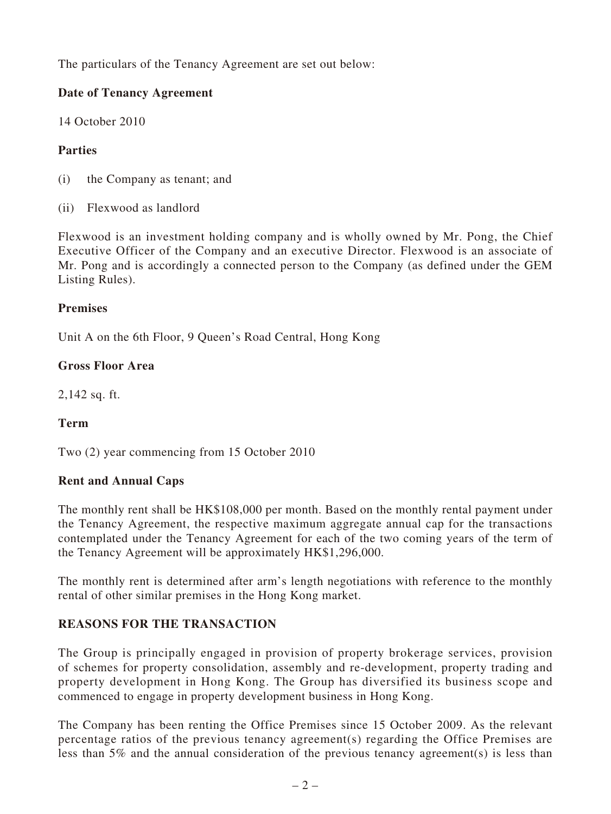The particulars of the Tenancy Agreement are set out below:

## **Date of Tenancy Agreement**

14 October 2010

## **Parties**

- (i) the Company as tenant; and
- (ii) Flexwood as landlord

Flexwood is an investment holding company and is wholly owned by Mr. Pong, the Chief Executive Officer of the Company and an executive Director. Flexwood is an associate of Mr. Pong and is accordingly a connected person to the Company (as defined under the GEM Listing Rules).

#### **Premises**

Unit A on the 6th Floor, 9 Queen's Road Central, Hong Kong

#### **Gross Floor Area**

2,142 sq. ft.

### **Term**

Two (2) year commencing from 15 October 2010

#### **Rent and Annual Caps**

The monthly rent shall be HK\$108,000 per month. Based on the monthly rental payment under the Tenancy Agreement, the respective maximum aggregate annual cap for the transactions contemplated under the Tenancy Agreement for each of the two coming years of the term of the Tenancy Agreement will be approximately HK\$1,296,000.

The monthly rent is determined after arm's length negotiations with reference to the monthly rental of other similar premises in the Hong Kong market.

### **REASONS FOR THE TRANSACTION**

The Group is principally engaged in provision of property brokerage services, provision of schemes for property consolidation, assembly and re-development, property trading and property development in Hong Kong. The Group has diversified its business scope and commenced to engage in property development business in Hong Kong.

The Company has been renting the Office Premises since 15 October 2009. As the relevant percentage ratios of the previous tenancy agreement(s) regarding the Office Premises are less than 5% and the annual consideration of the previous tenancy agreement(s) is less than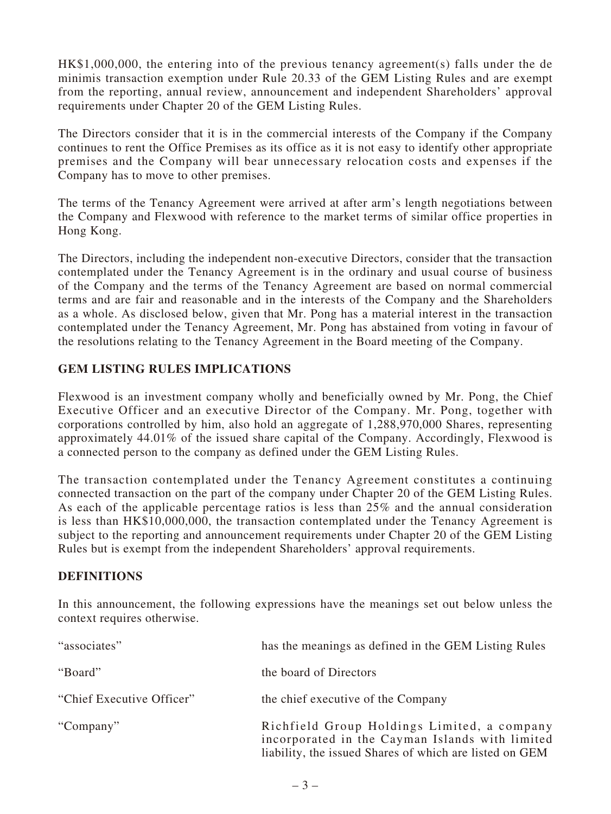HK\$1,000,000, the entering into of the previous tenancy agreement(s) falls under the de minimis transaction exemption under Rule 20.33 of the GEM Listing Rules and are exempt from the reporting, annual review, announcement and independent Shareholders' approval requirements under Chapter 20 of the GEM Listing Rules.

The Directors consider that it is in the commercial interests of the Company if the Company continues to rent the Office Premises as its office as it is not easy to identify other appropriate premises and the Company will bear unnecessary relocation costs and expenses if the Company has to move to other premises.

The terms of the Tenancy Agreement were arrived at after arm's length negotiations between the Company and Flexwood with reference to the market terms of similar office properties in Hong Kong.

The Directors, including the independent non-executive Directors, consider that the transaction contemplated under the Tenancy Agreement is in the ordinary and usual course of business of the Company and the terms of the Tenancy Agreement are based on normal commercial terms and are fair and reasonable and in the interests of the Company and the Shareholders as a whole. As disclosed below, given that Mr. Pong has a material interest in the transaction contemplated under the Tenancy Agreement, Mr. Pong has abstained from voting in favour of the resolutions relating to the Tenancy Agreement in the Board meeting of the Company.

#### **GEM LISTING RULES IMPLICATIONS**

Flexwood is an investment company wholly and beneficially owned by Mr. Pong, the Chief Executive Officer and an executive Director of the Company. Mr. Pong, together with corporations controlled by him, also hold an aggregate of 1,288,970,000 Shares, representing approximately 44.01% of the issued share capital of the Company. Accordingly, Flexwood is a connected person to the company as defined under the GEM Listing Rules.

The transaction contemplated under the Tenancy Agreement constitutes a continuing connected transaction on the part of the company under Chapter 20 of the GEM Listing Rules. As each of the applicable percentage ratios is less than 25% and the annual consideration is less than HK\$10,000,000, the transaction contemplated under the Tenancy Agreement is subject to the reporting and announcement requirements under Chapter 20 of the GEM Listing Rules but is exempt from the independent Shareholders' approval requirements.

#### **DEFINITIONS**

In this announcement, the following expressions have the meanings set out below unless the context requires otherwise.

| "associates"              | has the meanings as defined in the GEM Listing Rules                                                                                                      |
|---------------------------|-----------------------------------------------------------------------------------------------------------------------------------------------------------|
| "Board"                   | the board of Directors                                                                                                                                    |
| "Chief Executive Officer" | the chief executive of the Company                                                                                                                        |
| "Company"                 | Richfield Group Holdings Limited, a company<br>incorporated in the Cayman Islands with limited<br>liability, the issued Shares of which are listed on GEM |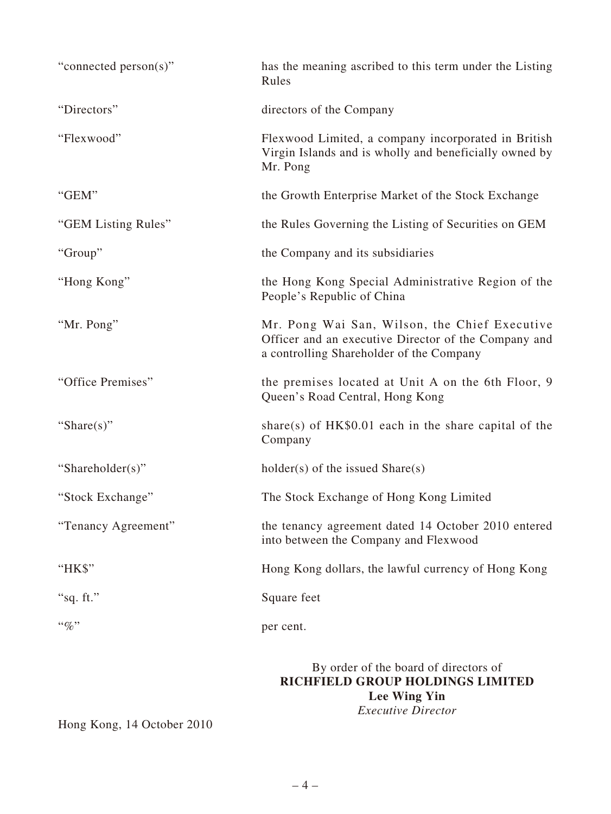| "connected person(s)" | has the meaning ascribed to this term under the Listing<br>Rules                                                                                  |
|-----------------------|---------------------------------------------------------------------------------------------------------------------------------------------------|
| "Directors"           | directors of the Company                                                                                                                          |
| "Flexwood"            | Flexwood Limited, a company incorporated in British<br>Virgin Islands and is wholly and beneficially owned by<br>Mr. Pong                         |
| "GEM"                 | the Growth Enterprise Market of the Stock Exchange                                                                                                |
| "GEM Listing Rules"   | the Rules Governing the Listing of Securities on GEM                                                                                              |
| "Group"               | the Company and its subsidiaries                                                                                                                  |
| "Hong Kong"           | the Hong Kong Special Administrative Region of the<br>People's Republic of China                                                                  |
| "Mr. Pong"            | Mr. Pong Wai San, Wilson, the Chief Executive<br>Officer and an executive Director of the Company and<br>a controlling Shareholder of the Company |
| "Office Premises"     | the premises located at Unit A on the 6th Floor, 9<br>Queen's Road Central, Hong Kong                                                             |
| "Share $(s)$ "        | share(s) of $HK\$0.01$ each in the share capital of the<br>Company                                                                                |
| "Shareholder(s)"      | $holder(s)$ of the issued $Share(s)$                                                                                                              |
| "Stock Exchange"      | The Stock Exchange of Hong Kong Limited                                                                                                           |
| "Tenancy Agreement"   | the tenancy agreement dated 14 October 2010 entered<br>into between the Company and Flexwood                                                      |
| "HK\$"                | Hong Kong dollars, the lawful currency of Hong Kong                                                                                               |
| "sq. ft."             | Square feet                                                                                                                                       |
| $``\%"$               | per cent.                                                                                                                                         |
|                       | By order of the board of directors of<br>DICHEIEI D CDAID HAI DINCS I IMITED                                                                      |

**RICHFIELD GROUP HOLDINGS LIMITED Lee Wing Yin** *Executive Director*

Hong Kong, 14 October 2010